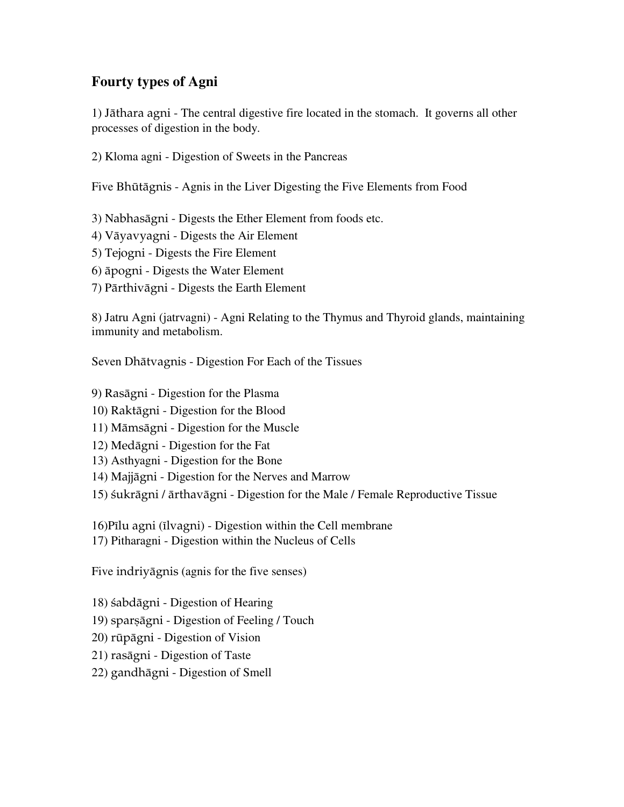## **Fourty types of Agni**

1) Jäthara agni - The central digestive fire located in the stomach. It governs all other processes of digestion in the body.

2) Kloma agni - Digestion of Sweets in the Pancreas

Five Bhütägnis - Agnis in the Liver Digesting the Five Elements from Food

3) Nabhasägni - Digests the Ether Element from foods etc.

- 4) Väyavyagni Digests the Air Element
- 5) Tejogni Digests the Fire Element
- 6) äpogni Digests the Water Element
- 7) Pärthivägni Digests the Earth Element

8) Jatru Agni (jatrvagni) - Agni Relating to the Thymus and Thyroid glands, maintaining immunity and metabolism.

Seven Dhätvagnis - Digestion For Each of the Tissues

- 9) Rasägni Digestion for the Plasma
- 10) Raktägni Digestion for the Blood
- 11) Mämsägni Digestion for the Muscle
- 12) Medägni Digestion for the Fat
- 13) Asthyagni Digestion for the Bone
- 14) Majjägni Digestion for the Nerves and Marrow
- 15) çukrägni / ärthavägni Digestion for the Male / Female Reproductive Tissue
- $16$ )Pīlu agni (īlvagni) Digestion within the Cell membrane
- 17) Pitharagni Digestion within the Nucleus of Cells

Five indriyägnis (agnis for the five senses)

18) sabdāgni - Digestion of Hearing

19) sparsāgni - Digestion of Feeling / Touch

- 20) rüpägni Digestion of Vision
- 21) rasägni Digestion of Taste
- 22) gandhägni Digestion of Smell